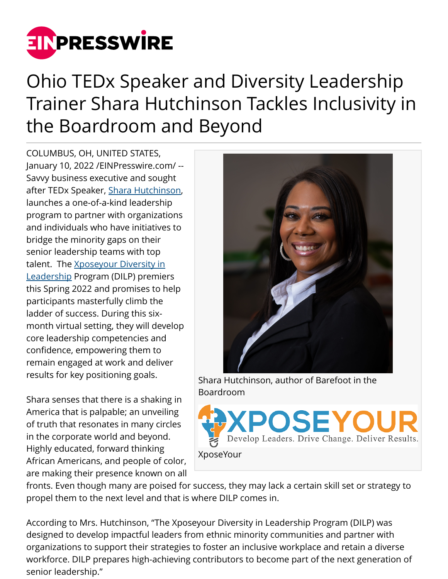

## Ohio TEDx Speaker and Diversity Leadership Trainer Shara Hutchinson Tackles Inclusivity in the Boardroom and Beyond

COLUMBUS, OH, UNITED STATES, January 10, 2022 /[EINPresswire.com](http://www.einpresswire.com)/ -- Savvy business executive and sought after TEDx Speaker, [Shara Hutchinson](http://www.sharahutchinson.com), launches a one-of-a-kind leadership program to partner with organizations and individuals who have initiatives to bridge the minority gaps on their senior leadership teams with top talent. The [Xposeyour Diversity in](https://www.xposeyoursolutions.com/diversity-in-leadership-program) [Leadership](https://www.xposeyoursolutions.com/diversity-in-leadership-program) Program (DILP) premiers this Spring 2022 and promises to help participants masterfully climb the ladder of success. During this sixmonth virtual setting, they will develop core leadership competencies and confidence, empowering them to remain engaged at work and deliver results for key positioning goals.

Shara senses that there is a shaking in America that is palpable; an unveiling of truth that resonates in many circles in the corporate world and beyond. Highly educated, forward thinking African Americans, and people of color, are making their presence known on all



Shara Hutchinson, author of Barefoot in the Boardroom



fronts. Even though many are poised for success, they may lack a certain skill set or strategy to propel them to the next level and that is where DILP comes in.

According to Mrs. Hutchinson, "The Xposeyour Diversity in Leadership Program (DILP) was designed to develop impactful leaders from ethnic minority communities and partner with organizations to support their strategies to foster an inclusive workplace and retain a diverse workforce. DILP prepares high-achieving contributors to become part of the next generation of senior leadership."